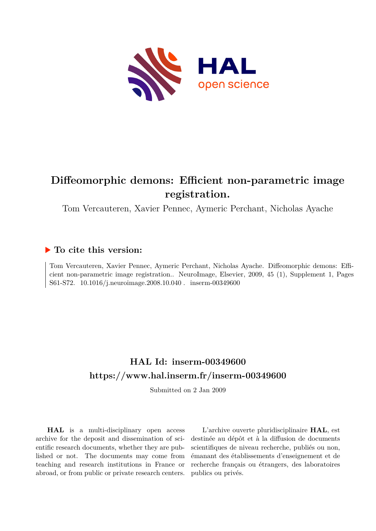

# **Diffeomorphic demons: Efficient non-parametric image registration.**

Tom Vercauteren, Xavier Pennec, Aymeric Perchant, Nicholas Ayache

# **To cite this version:**

Tom Vercauteren, Xavier Pennec, Aymeric Perchant, Nicholas Ayache. Diffeomorphic demons: Efficient non-parametric image registration.. NeuroImage, Elsevier, 2009, 45 (1), Supplement 1, Pages S61-S72. 10.1016/j.neuroimage.2008.10.040 . inserm-00349600

# **HAL Id: inserm-00349600 <https://www.hal.inserm.fr/inserm-00349600>**

Submitted on 2 Jan 2009

**HAL** is a multi-disciplinary open access archive for the deposit and dissemination of scientific research documents, whether they are published or not. The documents may come from teaching and research institutions in France or abroad, or from public or private research centers.

L'archive ouverte pluridisciplinaire **HAL**, est destinée au dépôt et à la diffusion de documents scientifiques de niveau recherche, publiés ou non, émanant des établissements d'enseignement et de recherche français ou étrangers, des laboratoires publics ou privés.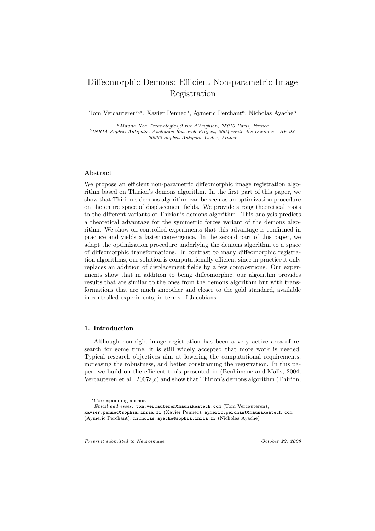# Diffeomorphic Demons: Efficient Non-parametric Image Registration

Tom Vercauteren<sup>a,∗</sup>, Xavier Pennec<sup>b</sup>, Aymeric Perchant<sup>a</sup>, Nicholas Ayache<sup>b</sup>

<sup>a</sup>Mauna Kea Technologies,9 rue d'Enghien, 75010 Paris, France b INRIA Sophia Antipolis, Asclepios Research Project, 2004 route des Lucioles - BP 93, 06902 Sophia Antipolis Cedex, France

#### Abstract

We propose an efficient non-parametric diffeomorphic image registration algorithm based on Thirion's demons algorithm. In the first part of this paper, we show that Thirion's demons algorithm can be seen as an optimization procedure on the entire space of displacement fields. We provide strong theoretical roots to the different variants of Thirion's demons algorithm. This analysis predicts a theoretical advantage for the symmetric forces variant of the demons algorithm. We show on controlled experiments that this advantage is confirmed in practice and yields a faster convergence. In the second part of this paper, we adapt the optimization procedure underlying the demons algorithm to a space of diffeomorphic transformations. In contrast to many diffeomorphic registration algorithms, our solution is computationally efficient since in practice it only replaces an addition of displacement fields by a few compositions. Our experiments show that in addition to being diffeomorphic, our algorithm provides results that are similar to the ones from the demons algorithm but with transformations that are much smoother and closer to the gold standard, available in controlled experiments, in terms of Jacobians.

#### 1. Introduction

Although non-rigid image registration has been a very active area of research for some time, it is still widely accepted that more work is needed. Typical research objectives aim at lowering the computational requirements, increasing the robustness, and better constraining the registration. In this paper, we build on the efficient tools presented in [\(Benhimane and Malis,](#page-26-0) [2004;](#page-26-0) [Vercauteren et al.](#page-28-0), [2007a](#page-28-0)[,c](#page-29-0)) and show that Thirion's demons algorithm [\(Thirion,](#page-28-1)

Email addresses: tom.vercauteren@maunakeatech.com (Tom Vercauteren),

Preprint submitted to Neuroimage  $October 22, 2008$ 

<sup>∗</sup>Corresponding author.

xavier.pennec@sophia.inria.fr (Xavier Pennec), aymeric.perchant@maunakeatech.com (Aymeric Perchant), nicholas.ayache@sophia.inria.fr (Nicholas Ayache)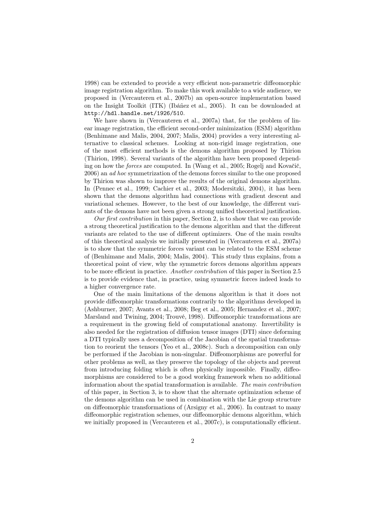[1998\)](#page-28-1) can be extended to provide a very efficient non-parametric diffeomorphic image registration algorithm. To make this work available to a wide audience, we proposed in [\(Vercauteren et al.,](#page-29-1) [2007b](#page-29-1)) an open-source implementation based on the Insight Toolkit (ITK) [\(Ibáñez et al.,](#page-27-0) [2005\)](#page-27-0). It can be downloaded at <http://hdl.handle.net/1926/510>.

We have shown in [\(Vercauteren et al.](#page-28-0), [2007a\)](#page-28-0) that, for the problem of linear image registration, the efficient second-order minimization (ESM) algorithm [\(Benhimane and Malis](#page-26-0), [2004,](#page-26-0) [2007;](#page-26-1) [Malis](#page-27-1), [2004](#page-27-1)) provides a very interesting alternative to classical schemes. Looking at non-rigid image registration, one of the most efficient methods is the demons algorithm proposed by Thirion [\(Thirion](#page-28-1), [1998](#page-28-1)). Several variants of the algorithm have been proposed depending on how the forces are computed. In [\(Wang et al.,](#page-29-2) [2005](#page-29-2); [Rogelj and Kovačič,](#page-28-2) [2006\)](#page-28-2) an ad hoc symmetrization of the demons forces similar to the one proposed by Thirion was shown to improve the results of the original demons algorithm. In [\(Pennec et al.,](#page-28-3) [1999](#page-28-3); [Cachier et al.](#page-26-2), [2003;](#page-26-2) [Modersitzki](#page-28-4), [2004\)](#page-28-4), it has been shown that the demons algorithm had connections with gradient descent and variational schemes. However, to the best of our knowledge, the different variants of the demons have not been given a strong unified theoretical justification.

Our first contribution in this paper, Section [2,](#page-3-0) is to show that we can provide a strong theoretical justification to the demons algorithm and that the different variants are related to the use of different optimizers. One of the main results of this theoretical analysis we initially presented in [\(Vercauteren et al.](#page-28-0), [2007a\)](#page-28-0) is to show that the symmetric forces variant can be related to the ESM scheme of [\(Benhimane and Malis,](#page-26-0) [2004;](#page-26-0) [Malis](#page-27-1), [2004](#page-27-1)). This study thus explains, from a theoretical point of view, why the symmetric forces demons algorithm appears to be more efficient in practice. Another contribution of this paper in Section [2.5](#page-9-0) is to provide evidence that, in practice, using symmetric forces indeed leads to a higher convergence rate.

One of the main limitations of the demons algorithm is that it does not provide diffeomorphic transformations contrarily to the algorithms developed in [\(Ashburner](#page-25-0), [2007](#page-25-0); [Avants et al.](#page-25-1), [2008](#page-25-1); [Beg et al.](#page-26-3), [2005;](#page-26-3) [Hernandez et al.,](#page-27-2) [2007;](#page-27-2) [Marsland and Twining](#page-27-3), [2004;](#page-27-3) [Trouvé](#page-28-5), [1998\)](#page-28-5). Diffeomorphic transformations are a requirement in the growing field of computational anatomy. Invertibility is also needed for the registration of diffusion tensor images (DTI) since deforming a DTI typically uses a decomposition of the Jacobian of the spatial transformation to reorient the tensors [\(Yeo et al.](#page-29-3), [2008c\)](#page-29-3). Such a decomposition can only be performed if the Jacobian is non-singular. Diffeomorphisms are powerful for other problems as well, as they preserve the topology of the objects and prevent from introducing folding which is often physically impossible. Finally, diffeomorphisms are considered to be a good working framework when no additional information about the spatial transformation is available. The main contribution of this paper, in Section [3,](#page-12-0) is to show that the alternate optimization scheme of the demons algorithm can be used in combination with the Lie group structure on diffeomorphic transformations of [\(Arsigny et al.,](#page-25-2) [2006](#page-25-2)). In contrast to many diffeomorphic registration schemes, our diffeomorphic demons algorithm, which we initially proposed in [\(Vercauteren et al.,](#page-29-0) [2007c\)](#page-29-0), is computationally efficient.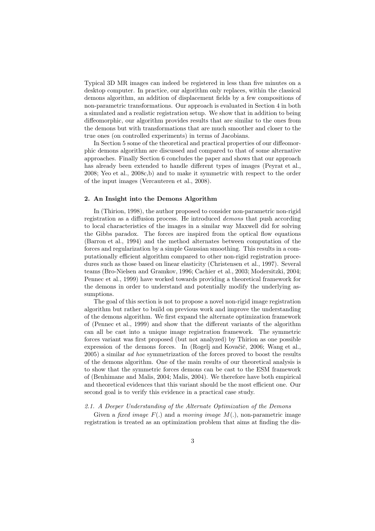Typical 3D MR images can indeed be registered in less than five minutes on a desktop computer. In practice, our algorithm only replaces, within the classical demons algorithm, an addition of displacement fields by a few compositions of non-parametric transformations. Our approach is evaluated in Section [4](#page-17-0) in both a simulated and a realistic registration setup. We show that in addition to being diffeomorphic, our algorithm provides results that are similar to the ones from the demons but with transformations that are much smoother and closer to the true ones (on controlled experiments) in terms of Jacobians.

In Section [5](#page-21-0) some of the theoretical and practical properties of our diffeomorphic demons algorithm are discussed and compared to that of some alternative approaches. Finally Section [6](#page-24-0) concludes the paper and shows that our approach has already been extended to handle different types of images [\(Peyrat et al.,](#page-28-6) [2008;](#page-28-6) [Yeo et al.,](#page-29-3) [2008c](#page-29-3)[,b\)](#page-29-4) and to make it symmetric with respect to the order of the input images [\(Vercauteren et al.,](#page-29-5) [2008\)](#page-29-5).

### <span id="page-3-0"></span>2. An Insight into the Demons Algorithm

In [\(Thirion,](#page-28-1) [1998\)](#page-28-1), the author proposed to consider non-parametric non-rigid registration as a diffusion process. He introduced demons that push according to local characteristics of the images in a similar way Maxwell did for solving the Gibbs paradox. The forces are inspired from the optical flow equations [\(Barron et al.](#page-26-4), [1994\)](#page-26-4) and the method alternates between computation of the forces and regularization by a simple Gaussian smoothing. This results in a computationally efficient algorithm compared to other non-rigid registration procedures such as those based on linear elasticity [\(Christensen et al.,](#page-26-5) [1997\)](#page-26-5). Several teams [\(Bro-Nielsen and Gramkov,](#page-26-6) [1996](#page-26-6); [Cachier et al.,](#page-26-2) [2003;](#page-26-2) [Modersitzki](#page-28-4), [2004;](#page-28-4) [Pennec et al.](#page-28-3), [1999\)](#page-28-3) have worked towards providing a theoretical framework for the demons in order to understand and potentially modify the underlying assumptions.

The goal of this section is not to propose a novel non-rigid image registration algorithm but rather to build on previous work and improve the understanding of the demons algorithm. We first expand the alternate optimization framework of [\(Pennec et al.](#page-28-3), [1999\)](#page-28-3) and show that the different variants of the algorithm can all be cast into a unique image registration framework. The symmetric forces variant was first proposed (but not analyzed) by Thirion as one possible expression of the demons forces. In [\(Rogelj and Kovačič](#page-28-2), [2006;](#page-28-2) [Wang et al.,](#page-29-2) [2005\)](#page-29-2) a similar ad hoc symmetrization of the forces proved to boost the results of the demons algorithm. One of the main results of our theoretical analysis is to show that the symmetric forces demons can be cast to the ESM framework of [\(Benhimane and Malis](#page-26-0), [2004;](#page-26-0) [Malis,](#page-27-1) [2004](#page-27-1)). We therefore have both empirical and theoretical evidences that this variant should be the most efficient one. Our second goal is to verify this evidence in a practical case study.

#### <span id="page-3-1"></span>2.1. A Deeper Understanding of the Alternate Optimization of the Demons

Given a fixed image  $F(.)$  and a moving image  $M(.)$ , non-parametric image registration is treated as an optimization problem that aims at finding the dis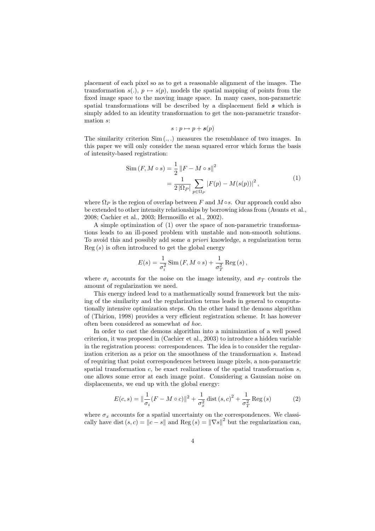placement of each pixel so as to get a reasonable alignment of the images. The transformation  $s(.)$ ,  $p \mapsto s(p)$ , models the spatial mapping of points from the fixed image space to the moving image space. In many cases, non-parametric spatial transformations will be described by a displacement field s which is simply added to an identity transformation to get the non-parametric transformation s:

<span id="page-4-0"></span>
$$
s: p \mapsto p + s(p)
$$

The similarity criterion Sim (., .) measures the resemblance of two images. In this paper we will only consider the mean squared error which forms the basis of intensity-based registration:

$$
\begin{aligned} \text{Sim}(F, M \circ s) &= \frac{1}{2} \left\| F - M \circ s \right\|^2 \\ &= \frac{1}{2 \left| \Omega_P \right|} \sum_{p \in \Omega_P} \left| F(p) - M(s(p)) \right|^2, \end{aligned} \tag{1}
$$

where  $\Omega_P$  is the region of overlap between F and  $M \circ s$ . Our approach could also be extended to other intensity relationships by borrowing ideas from [\(Avants et al.,](#page-25-1) [2008;](#page-25-1) [Cachier et al.](#page-26-2), [2003](#page-26-2); [Hermosillo et al.](#page-27-4), [2002](#page-27-4)).

A simple optimization of [\(1\)](#page-4-0) over the space of non-parametric transformations leads to an ill-posed problem with unstable and non-smooth solutions. To avoid this and possibly add some a priori knowledge, a regularization term  $Reg(s)$  is often introduced to get the global energy

$$
E(s) = \frac{1}{\sigma_i^2} \operatorname{Sim}(F, M \circ s) + \frac{1}{\sigma_T^2} \operatorname{Reg}(s),
$$

where  $\sigma_i$  accounts for the noise on the image intensity, and  $\sigma_T$  controls the amount of regularization we need.

This energy indeed lead to a mathematically sound framework but the mixing of the similarity and the regularization terms leads in general to computationally intensive optimization steps. On the other hand the demons algorithm of [\(Thirion,](#page-28-1) [1998\)](#page-28-1) provides a very efficient registration scheme. It has however often been considered as somewhat ad hoc.

In order to cast the demons algorithm into a minimization of a well posed criterion, it was proposed in [\(Cachier et al.,](#page-26-2) [2003\)](#page-26-2) to introduce a hidden variable in the registration process: correspondences. The idea is to consider the regularization criterion as a prior on the smoothness of the transformation s. Instead of requiring that point correspondences between image pixels, a non-parametric spatial transformation  $c$ , be exact realizations of the spatial transformation  $s$ , one allows some error at each image point. Considering a Gaussian noise on displacements, we end up with the global energy:

<span id="page-4-1"></span>
$$
E(c, s) = \|\frac{1}{\sigma_i}(F - M \circ c)\|^2 + \frac{1}{\sigma_x^2} \operatorname{dist}(s, c)^2 + \frac{1}{\sigma_T^2} \operatorname{Reg}(s)
$$
(2)

where  $\sigma_x$  accounts for a spatial uncertainty on the correspondences. We classically have dist  $(s, c) = ||c - s||$  and Reg  $(s) = ||\nabla s||^2$  but the regularization can,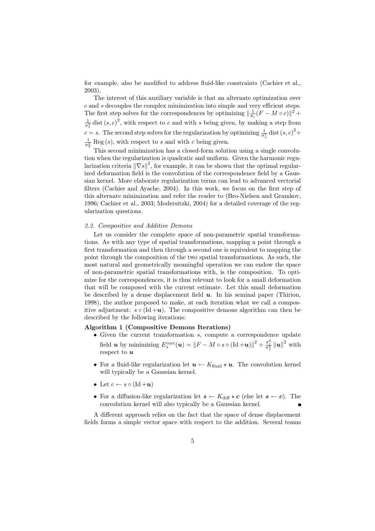for example, also be modified to address fluid-like constraints [\(Cachier et al.,](#page-26-2) [2003\)](#page-26-2).

The interest of this auxiliary variable is that an alternate optimization over c and s decouples the complex minimization into simple and very efficient steps. The first step solves for the correspondences by optimizing  $\|\frac{1}{\sigma_i}(F - M \circ c)\|^2$  +  $\frac{1}{\sigma_x^2}$  dist  $(s, c)^2$ , with respect to c and with s being given, by making a step from  $c = s$ . The second step solves for the regularization by optimizing  $\frac{1}{\sigma_x^2}$  dist  $(s, c)^2 +$  $\frac{1}{\sigma_T^2}$  Reg  $(s)$ , with respect to s and with c being given.

This second minimization has a closed-form solution using a single convolution when the regularization is quadratic and uniform. Given the harmonic regularization criteria  $\|\nabla s\|^2$ , for example, it can be shown that the optimal regularized deformation field is the convolution of the correspondence field by a Gaussian kernel. More elaborate regularization terms can lead to advanced vectorial filters [\(Cachier and Ayache](#page-26-7), [2004\)](#page-26-7). In this work, we focus on the first step of this alternate minimization and refer the reader to [\(Bro-Nielsen and Gramkov,](#page-26-6) [1996;](#page-26-6) [Cachier et al.,](#page-26-2) [2003;](#page-26-2) [Modersitzki,](#page-28-4) [2004](#page-28-4)) for a detailed coverage of the regularization questions.

## 2.2. Compositive and Additive Demons

Let us consider the complete space of non-parametric spatial transformations. As with any type of spatial transformations, mapping a point through a first transformation and then through a second one is equivalent to mapping the point through the composition of the two spatial transformations. As such, the most natural and geometrically meaningful operation we can endow the space of non-parametric spatial transformations with, is the composition. To optimize for the correspondences, it is thus relevant to look for a small deformation that will be composed with the current estimate. Let this small deformation be described by a dense displacement field  $u$ . In his seminal paper [\(Thirion,](#page-28-1) [1998\)](#page-28-1), the author proposed to make, at each iteration what we call a compositive adjustment:  $s \circ (\text{Id} + u)$ . The compositive demons algorithm can then be described by the following iterations:

# Algorithm 1 (Compositive Demons Iterations)

- <span id="page-5-0"></span>• Given the current transformation s, compute a correspondence update field **u** by minimizing  $E_s^{\text{corr}}(\boldsymbol{u}) = ||F - M \circ s \circ (\text{Id} + \boldsymbol{u})||^2 + \frac{\sigma_i^2}{\sigma_x^2} ||\boldsymbol{u}||^2$  with respect to  $\boldsymbol{u}$
- For a fluid-like regularization let  $u \leftarrow K_{\text{fluid}} \star u$ . The convolution kernel will typically be a Gaussian kernel.
- Let  $c \leftarrow s \circ (\text{Id} + u)$
- For a diffusion-like regularization let  $s \leftarrow K_{\text{diff}} \star c$  (else let  $s \leftarrow c$ ). The convolution kernel will also typically be a Gaussian kernel.

A different approach relies on the fact that the space of dense displacement fields forms a simple vector space with respect to the addition. Several teams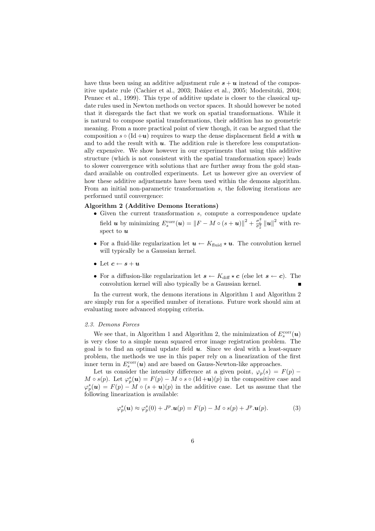have thus been using an additive adjustment rule  $s + u$  instead of the compositive update rule [\(Cachier et al.](#page-26-2), [2003](#page-26-2); [Ibáñez et al.](#page-27-0), [2005](#page-27-0); [Modersitzki,](#page-28-4) [2004;](#page-28-4) [Pennec et al.](#page-28-3), [1999](#page-28-3)). This type of additive update is closer to the classical update rules used in Newton methods on vector spaces. It should however be noted that it disregards the fact that we work on spatial transformations. While it is natural to compose spatial transformations, their addition has no geometric meaning. From a more practical point of view though, it can be argued that the composition  $s \circ (\text{Id} + u)$  requires to warp the dense displacement field s with u and to add the result with  $u$ . The addition rule is therefore less computationally expensive. We show however in our experiments that using this additive structure (which is not consistent with the spatial transformation space) leads to slower convergence with solutions that are further away from the gold standard available on controlled experiments. Let us however give an overview of how these additive adjustments have been used within the demons algorithm. From an initial non-parametric transformation s, the following iterations are performed until convergence:

#### Algorithm 2 (Additive Demons Iterations)

- <span id="page-6-0"></span> $\bullet$  Given the current transformation  $s$ , compute a correspondence update field *u* by minimizing  $E_s^{\text{corr}}(\boldsymbol{u}) = ||F - M \circ (s + \boldsymbol{u})||^2 + \frac{\sigma_i^2}{\sigma_x^2} ||\boldsymbol{u}||^2$  with respect to  $\boldsymbol{u}$
- For a fluid-like regularization let  $u \leftarrow K_{\text{fluid}} \star u$ . The convolution kernel will typically be a Gaussian kernel.
- Let  $c \leftarrow s + u$
- For a diffusion-like regularization let  $s \leftarrow K_{\text{diff}} \star c$  (else let  $s \leftarrow c$ ). The convolution kernel will also typically be a Gaussian kernel.

In the current work, the demons iterations in Algorithm [1](#page-5-0) and Algorithm [2](#page-6-0) are simply run for a specified number of iterations. Future work should aim at evaluating more advanced stopping criteria.

#### 2.3. Demons Forces

We see that, in Algorithm [1](#page-5-0) and Algorithm [2,](#page-6-0) the minimization of  $E_s^{\text{corr}}({\boldsymbol u})$ is very close to a simple mean squared error image registration problem. The goal is to find an optimal update field  $u$ . Since we deal with a least-square problem, the methods we use in this paper rely on a linearization of the first inner term in  $E_s^{\text{corr}}({\boldsymbol u})$  and are based on Gauss-Newton-like approaches.

Let us consider the intensity difference at a given point,  $\varphi_p(s) = F(p)$  –  $M \circ s(p)$ . Let  $\varphi_p^s(\mathbf{u}) = F(p) - M \circ s \circ (\text{Id} + \mathbf{u})(p)$  in the compositive case and  $\varphi_p^s(u) = F(p) - M \circ (s + u)(p)$  in the additive case. Let us assume that the following linearization is available:

$$
\varphi_p^s(\mathbf{u}) \approx \varphi_p^s(0) + J^p \cdot \mathbf{u}(p) = F(p) - M \circ s(p) + J^p \cdot \mathbf{u}(p). \tag{3}
$$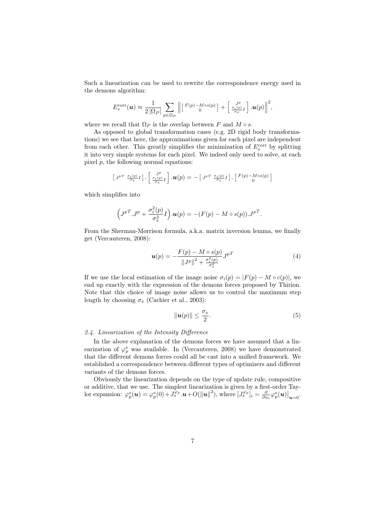Such a linearization can be used to rewrite the correspondence energy used in the demons algorithm:

$$
E_s^{\text{corr}}(\boldsymbol{u}) \approx \frac{1}{2\left|\Omega_P\right|} \sum_{p \in \Omega_P} \left\| \begin{bmatrix} F(p) - M \circ s(p) \\ 0 \end{bmatrix} + \begin{bmatrix} J^p \\ \frac{\sigma_i(p)}{\sigma_x} I \end{bmatrix} . \boldsymbol{u}(p) \right\|^2,
$$

where we recall that  $\Omega_P$  is the overlap between F and  $M \circ s$ .

As opposed to global transformation cases (e.g. 2D rigid body transformations) we see that here, the approximations given for each pixel are independent from each other. This greatly simplifies the minimization of  $E_s^{\text{corr}}$  by splitting it into very simple systems for each pixel. We indeed only need to solve, at each pixel  $p$ , the following normal equations:

$$
\left[J^{pT} \ \tfrac{\sigma_i(p)}{\sigma_x} I\right] \cdot \left[\tfrac{J^p}{\sigma_x(p)}} I\right] \cdot \mathbf{u}(p) = -\left[J^{pT} \ \tfrac{\sigma_i(p)}{\sigma_x} I\right] \cdot \left[\begin{matrix}F(p) - M \circ s(p) \\ 0\end{matrix}\right]
$$

which simplifies into

$$
\left(J^{pT}.J^{p}+\frac{\sigma_i^2(p)}{\sigma_x^2}I\right) \mathbf{u}(p) = -(F(p)-M \circ s(p)).J^{pT}.
$$

<span id="page-7-0"></span>From the Sherman-Morrison formula, a.k.a. matrix inversion lemma, we finally get [\(Vercauteren](#page-28-7), [2008](#page-28-7)):

$$
\mathbf{u}(p) = -\frac{F(p) - M \circ s(p)}{\|J^p\|^2 + \frac{\sigma_i^2(p)}{\sigma_x^2}} J^{pT}
$$
(4)

If we use the local estimation of the image noise  $\sigma_i(p) = |F(p) - M \circ c(p)|$ , we end up exactly with the expression of the demons forces proposed by Thirion. Note that this choice of image noise allows us to control the maximum step length by choosing  $\sigma_x$  [\(Cachier et al.,](#page-26-2) [2003\)](#page-26-2):

$$
\|\boldsymbol{u}(p)\| \le \frac{\sigma_x}{2}.\tag{5}
$$

### <span id="page-7-1"></span>2.4. Linearization of the Intensity Difference

In the above explanation of the demons forces we have assumed that a linearization of  $\varphi_p^s$  was available. In [\(Vercauteren](#page-28-7), [2008\)](#page-28-7) we have demonstrated that the different demons forces could all be cast into a unified framework. We established a correspondence between different types of optimizers and different variants of the demons forces.

Obviously the linearization depends on the type of update rule, compositive or additive, that we use. The simplest linearization is given by a first-order Taylor expansion:  $\varphi_p^s(\mathbf{u}) = \varphi_p^s(0) + J_s^{\tilde{\varphi}_p}\cdot \mathbf{u} + O(||\mathbf{u}||^2)$ , where  $[J_s^{\varphi_p}]_i = \frac{\partial}{\partial u_i} \varphi_p^s(\mathbf{u})\Big|_{\mathbf{u}=0}$ .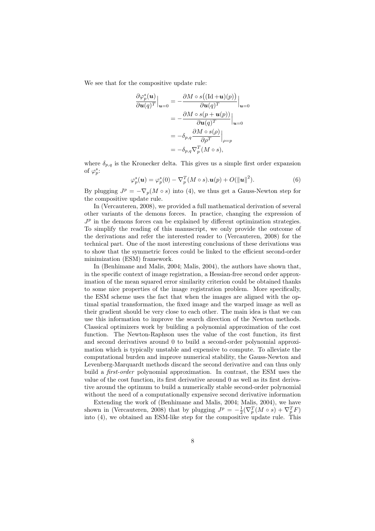We see that for the compositive update rule:

$$
\frac{\partial \varphi_p^s(\mathbf{u})}{\partial \mathbf{u}(q)^T}\Big|_{\mathbf{u}=0} = -\frac{\partial M \circ s((\mathrm{Id} + \mathbf{u})(p))}{\partial \mathbf{u}(q)^T}\Big|_{\mathbf{u}=0}
$$

$$
= -\frac{\partial M \circ s(p + \mathbf{u}(p))}{\partial \mathbf{u}(q)^T}\Big|_{\mathbf{u}=0}
$$

$$
= -\delta_{p,q} \frac{\partial M \circ s(\rho)}{\partial \rho^T}\Big|_{\rho=p}
$$

$$
= -\delta_{p,q} \nabla_p^T (M \circ s),
$$

where  $\delta_{p,q}$  is the Kronecker delta. This gives us a simple first order expansion of  $\varphi_p^s$ :

$$
\varphi_p^s(\boldsymbol{u}) = \varphi_p^s(0) - \nabla_p^T(M \circ s) . \boldsymbol{u}(p) + O(||\boldsymbol{u}||^2). \tag{6}
$$

By plugging  $J^p = -\nabla_p(M \circ s)$  into [\(4\)](#page-7-0), we thus get a Gauss-Newton step for the compositive update rule.

In [\(Vercauteren](#page-28-7), [2008\)](#page-28-7), we provided a full mathematical derivation of several other variants of the demons forces. In practice, changing the expression of  $J<sup>p</sup>$  in the demons forces can be explained by different optimization strategies. To simplify the reading of this manuscript, we only provide the outcome of the derivations and refer the interested reader to [\(Vercauteren,](#page-28-7) [2008](#page-28-7)) for the technical part. One of the most interesting conclusions of these derivations was to show that the symmetric forces could be linked to the efficient second-order minimization (ESM) framework.

In [\(Benhimane and Malis,](#page-26-0) [2004;](#page-26-0) [Malis](#page-27-1), [2004\)](#page-27-1), the authors have shown that, in the specific context of image registration, a Hessian-free second order approximation of the mean squared error similarity criterion could be obtained thanks to some nice properties of the image registration problem. More specifically, the ESM scheme uses the fact that when the images are aligned with the optimal spatial transformation, the fixed image and the warped image as well as their gradient should be very close to each other. The main idea is that we can use this information to improve the search direction of the Newton methods. Classical optimizers work by building a polynomial approximation of the cost function. The Newton-Raphson uses the value of the cost function, its first and second derivatives around 0 to build a second-order polynomial approximation which is typically unstable and expensive to compute. To alleviate the computational burden and improve numerical stability, the Gauss-Newton and Levenberg-Marquardt methods discard the second derivative and can thus only build a first-order polynomial approximation. In contrast, the ESM uses the value of the cost function, its first derivative around 0 as well as its first derivative around the optimum to build a numerically stable second-order polynomial without the need of a computationally expensive second derivative information

Extending the work of [\(Benhimane and Malis,](#page-26-0) [2004](#page-26-0); [Malis](#page-27-1), [2004](#page-27-1)), we have shown in [\(Vercauteren,](#page-28-7) [2008\)](#page-28-7) that by plugging  $J^p = -\frac{1}{2}(\nabla_p^T (M \circ s) + \nabla_p^T F)$ into [\(4\)](#page-7-0), we obtained an ESM-like step for the compositive update rule. This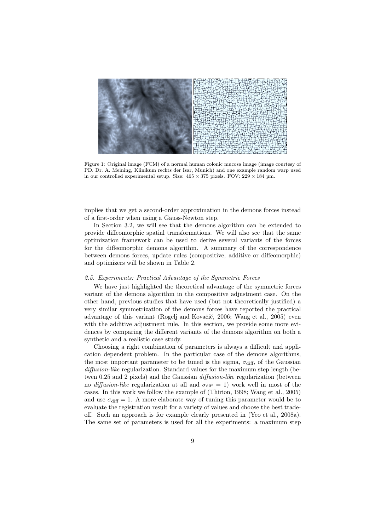

Figure 1: Original image (FCM) of a normal human colonic mucosa image (image courtesy of PD. Dr. A. Meining, Klinikum rechts der Isar, Munich) and one example random warp used in our controlled experimental setup. Size:  $465 \times 375$  pixels. FOV:  $229 \times 184$  µm.

<span id="page-9-1"></span>implies that we get a second-order approximation in the demons forces instead of a first-order when using a Gauss-Newton step.

In Section [3.2,](#page-15-0) we will see that the demons algorithm can be extended to provide diffeomorphic spatial transformations. We will also see that the same optimization framework can be used to derive several variants of the forces for the diffeomorphic demons algorithm. A summary of the correspondence between demons forces, update rules (compositive, additive or diffeomorphic) and optimizers will be shown in Table [2.](#page-17-1)

#### <span id="page-9-0"></span>2.5. Experiments: Practical Advantage of the Symmetric Forces

We have just highlighted the theoretical advantage of the symmetric forces variant of the demons algorithm in the compositive adjustment case. On the other hand, previous studies that have used (but not theoretically justified) a very similar symmetrization of the demons forces have reported the practical advantage of this variant [\(Rogelj and Kovačič,](#page-28-2) [2006;](#page-28-2) [Wang et al.,](#page-29-2) [2005\)](#page-29-2) even with the additive adjustment rule. In this section, we provide some more evidences by comparing the different variants of the demons algorithm on both a synthetic and a realistic case study.

Choosing a right combination of parameters is always a difficult and application dependent problem. In the particular case of the demons algorithms, the most important parameter to be tuned is the sigma,  $\sigma_{\text{diff}}$ , of the Gaussian diffusion-like regularization. Standard values for the maximum step length (betwen 0.25 and 2 pixels) and the Gaussian *diffusion-like* regularization (between no diffusion-like regularization at all and  $\sigma_{\text{diff}} = 1$ ) work well in most of the cases. In this work we follow the example of [\(Thirion](#page-28-1), [1998](#page-28-1); [Wang et al.,](#page-29-2) [2005\)](#page-29-2) and use  $\sigma_{\text{diff}} = 1$ . A more elaborate way of tuning this parameter would be to evaluate the registration result for a variety of values and choose the best tradeoff. Such an approach is for example clearly presented in [\(Yeo et al.](#page-29-6), [2008a\)](#page-29-6). The same set of parameters is used for all the experiments: a maximum step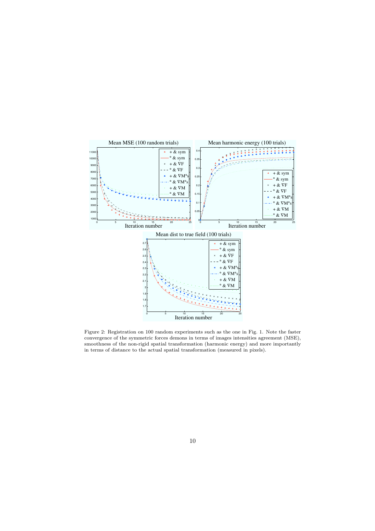

<span id="page-10-0"></span>Figure 2: Registration on 100 random experiments such as the one in Fig. [1.](#page-9-1) Note the faster convergence of the symmetric forces demons in terms of images intensities agreement (MSE), smoothness of the non-rigid spatial transformation (harmonic energy) and more importantly in terms of distance to the actual spatial transformation (measured in pixels).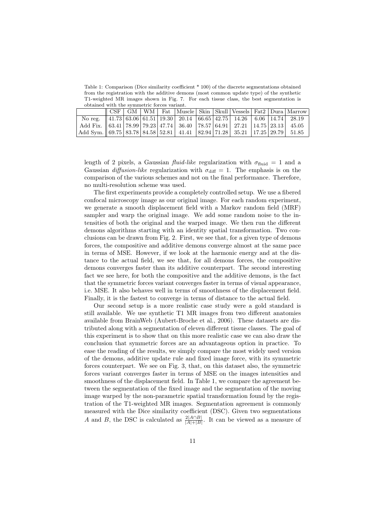<span id="page-11-0"></span>Table 1: Comparison (Dice similarity coefficient \* 100) of the discrete segmentations obtained from the registration with the additive demons (most common update type) of the synthetic T1-weighted MR images shown in Fig. [7.](#page-20-0) For each tissue class, the best segmentation is obtained with the symmetric forces variant.

|  |  |  |  |  | CSF   GM   WM   Fat   Muscle   Skin   Skull   Vessels   Fat2   Dura   Marrow |
|--|--|--|--|--|------------------------------------------------------------------------------|
|  |  |  |  |  |                                                                              |
|  |  |  |  |  |                                                                              |
|  |  |  |  |  |                                                                              |

length of 2 pixels, a Gaussian *fluid-like* regularization with  $\sigma_{\text{fluid}} = 1$  and a Gaussian *diffusion-like* regularization with  $\sigma_{\text{diff}} = 1$ . The emphasis is on the comparison of the various schemes and not on the final performance. Therefore, no multi-resolution scheme was used.

The first experiments provide a completely controlled setup. We use a fibered confocal microscopy image as our original image. For each random experiment, we generate a smooth displacement field with a Markov random field (MRF) sampler and warp the original image. We add some random noise to the intensities of both the original and the warped image. We then run the different demons algorithms starting with an identity spatial transformation. Two conclusions can be drawn from Fig. [2.](#page-10-0) First, we see that, for a given type of demons forces, the compositive and additive demons converge almost at the same pace in terms of MSE. However, if we look at the harmonic energy and at the distance to the actual field, we see that, for all demons forces, the compositive demons converges faster than its additive counterpart. The second interesting fact we see here, for both the compositive and the additive demons, is the fact that the symmetric forces variant converges faster in terms of visual appearance, i.e. MSE. It also behaves well in terms of smoothness of the displacement field. Finally, it is the fastest to converge in terms of distance to the actual field.

Our second setup is a more realistic case study were a gold standard is still available. We use synthetic T1 MR images from two different anatomies available from BrainWeb [\(Aubert-Broche et al.](#page-25-3), [2006](#page-25-3)). These datasets are distributed along with a segmentation of eleven different tissue classes. The goal of this experiment is to show that on this more realistic case we can also draw the conclusion that symmetric forces are an advantageous option in practice. To ease the reading of the results, we simply compare the most widely used version of the demons, additive update rule and fixed image force, with its symmetric forces counterpart. We see on Fig. [3,](#page-12-1) that, on this dataset also, the symmetric forces variant converges faster in terms of MSE on the images intensities and smoothness of the displacement field. In Table [1,](#page-11-0) we compare the agreement between the segmentation of the fixed image and the segmentation of the moving image warped by the non-parametric spatial transformation found by the registration of the T1-weighted MR images. Segmentation agreement is commonly measured with the Dice similarity coefficient (DSC). Given two segmentations A and B, the DSC is calculated as  $\frac{2|A\cap B|}{|A|+|B|}$ . It can be viewed as a measure of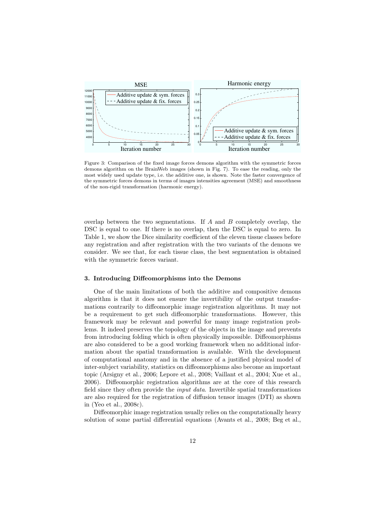

<span id="page-12-1"></span>Figure 3: Comparison of the fixed image forces demons algorithm with the symmetric forces demons algorithm on the BrainWeb images (shown in Fig. [7\)](#page-20-0). To ease the reading, only the most widely used update type, i.e. the additive one, is shown. Note the faster convergence of the symmetric forces demons in terms of images intensities agreement (MSE) and smoothness of the non-rigid transformation (harmonic energy).

overlap between the two segmentations. If  $A$  and  $B$  completely overlap, the DSC is equal to one. If there is no overlap, then the DSC is equal to zero. In Table [1,](#page-11-0) we show the Dice similarity coefficient of the eleven tissue classes before any registration and after registration with the two variants of the demons we consider. We see that, for each tissue class, the best segmentation is obtained with the symmetric forces variant.

### <span id="page-12-0"></span>3. Introducing Diffeomorphisms into the Demons

One of the main limitations of both the additive and compositive demons algorithm is that it does not ensure the invertibility of the output transformations contrarily to diffeomorphic image registration algorithms. It may not be a requirement to get such diffeomorphic transformations. However, this framework may be relevant and powerful for many image registration problems. It indeed preserves the topology of the objects in the image and prevents from introducing folding which is often physically impossible. Diffeomorphisms are also considered to be a good working framework when no additional information about the spatial transformation is available. With the development of computational anatomy and in the absence of a justified physical model of inter-subject variability, statistics on diffeomorphisms also become an important topic [\(Arsigny et al.](#page-25-2), [2006](#page-25-2); [Lepore et al.,](#page-27-5) [2008](#page-27-5); [Vaillant et al.,](#page-28-8) [2004;](#page-28-8) [Xue et al.,](#page-29-7) [2006\)](#page-29-7). Diffeomorphic registration algorithms are at the core of this research field since they often provide the input data. Invertible spatial transformations are also required for the registration of diffusion tensor images (DTI) as shown in [\(Yeo et al.,](#page-29-3) [2008c](#page-29-3)).

Diffeomorphic image registration usually relies on the computationally heavy solution of some partial differential equations [\(Avants et al.,](#page-25-1) [2008;](#page-25-1) [Beg et al.,](#page-26-3)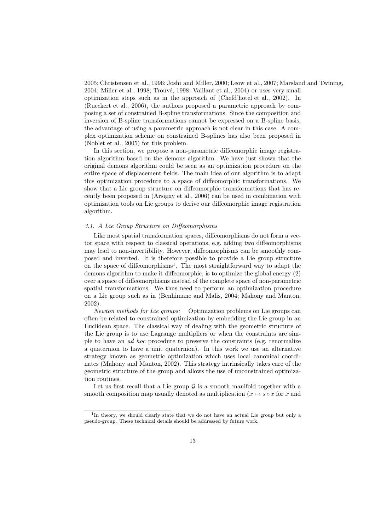[2005;](#page-26-3) [Christensen et al.](#page-26-8), [1996](#page-26-8); [Joshi and Miller,](#page-27-6) [2000;](#page-27-6) [Leow et al.,](#page-27-7) [2007;](#page-27-7) [Marsland and Twining](#page-27-3), [2004;](#page-27-3) [Miller et al.](#page-27-8), [1998](#page-27-8); [Trouvé,](#page-28-5) [1998;](#page-28-5) [Vaillant et al.,](#page-28-8) [2004\)](#page-28-8) or uses very small optimization steps such as in the approach of [\(Chefd'hotel et al.,](#page-26-9) [2002\)](#page-26-9). In [\(Rueckert et al.,](#page-28-9) [2006\)](#page-28-9), the authors proposed a parametric approach by composing a set of constrained B-spline transformations. Since the composition and inversion of B-spline transformations cannot be expressed on a B-spline basis, the advantage of using a parametric approach is not clear in this case. A complex optimization scheme on constrained B-splines has also been proposed in [\(Noblet et al.](#page-28-10), [2005](#page-28-10)) for this problem.

In this section, we propose a non-parametric diffeomorphic image registration algorithm based on the demons algorithm. We have just shown that the original demons algorithm could be seen as an optimization procedure on the entire space of displacement fields. The main idea of our algorithm is to adapt this optimization procedure to a space of diffeomorphic transformations. We show that a Lie group structure on diffeomorphic transformations that has recently been proposed in [\(Arsigny et al.,](#page-25-2) [2006\)](#page-25-2) can be used in combination with optimization tools on Lie groups to derive our diffeomorphic image registration algorithm.

#### 3.1. A Lie Group Structure on Diffeomorphisms

Like most spatial transformation spaces, diffeomorphisms do not form a vector space with respect to classical operations, e.g. adding two diffeomorphisms may lead to non-invertibility. However, diffeomorphisms can be smoothly composed and inverted. It is therefore possible to provide a Lie group structure on the space of diffeomorphisms<sup>[1](#page-13-0)</sup>. The most straightforward way to adapt the demons algorithm to make it diffeomorphic, is to optimize the global energy [\(2\)](#page-4-1) over a space of diffeomorphisms instead of the complete space of non-parametric spatial transformations. We thus need to perform an optimization procedure on a Lie group such as in [\(Benhimane and Malis,](#page-26-0) [2004](#page-26-0); [Mahony and Manton,](#page-27-9) [2002\)](#page-27-9).

Newton methods for Lie groups: Optimization problems on Lie groups can often be related to constrained optimization by embedding the Lie group in an Euclidean space. The classical way of dealing with the geometric structure of the Lie group is to use Lagrange multipliers or when the constraints are simple to have an ad hoc procedure to preserve the constraints (e.g. renormalize a quaternion to have a unit quaternion). In this work we use an alternative strategy known as geometric optimization which uses local canonical coordinates [\(Mahony and Manton](#page-27-9), [2002\)](#page-27-9). This strategy intrinsically takes care of the geometric structure of the group and allows the use of unconstrained optimization routines.

Let us first recall that a Lie group  $\mathcal G$  is a smooth manifold together with a smooth composition map usually denoted as multiplication  $(x \mapsto s \circ x$  for x and

<span id="page-13-0"></span><sup>&</sup>lt;sup>1</sup>In theory, we should clearly state that we do not have an actual Lie group but only a pseudo-group. These technical details should be addressed by future work.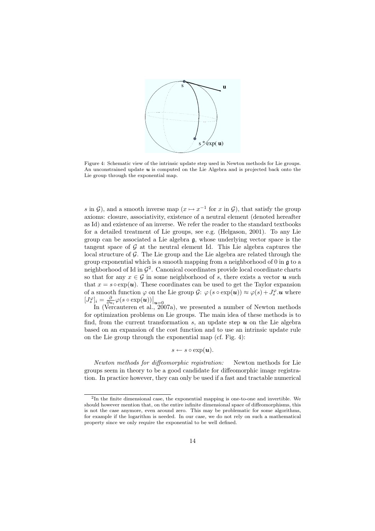

<span id="page-14-1"></span>Figure 4: Schematic view of the intrinsic update step used in Newton methods for Lie groups. An unconstrained update  $u$  is computed on the Lie Algebra and is projected back onto the Lie group through the exponential map.

s in  $\mathcal{G}$ ), and a smooth inverse map  $(x \mapsto x^{-1}$  for x in  $\mathcal{G}$ ), that satisfy the group axioms: closure, associativity, existence of a neutral element (denoted hereafter as Id) and existence of an inverse. We refer the reader to the standard textbooks for a detailed treatment of Lie groups, see e.g. [\(Helgason,](#page-27-10) [2001\)](#page-27-10). To any Lie group can be associated a Lie algebra g, whose underlying vector space is the tangent space of  $\mathcal G$  at the neutral element Id. This Lie algebra captures the local structure of  $\mathcal G$ . The Lie group and the Lie algebra are related through the group exponential which is a smooth mapping from a neighborhood of 0 in  $\mathfrak g$  to a neighborhood of Id in  $\mathcal{G}^2$  $\mathcal{G}^2$ . Canonical coordinates provide local coordinate charts so that for any  $x \in \mathcal{G}$  in some neighborhood of s, there exists a vector **u** such that  $x = s \circ \exp(u)$ . These coordinates can be used to get the Taylor expansion of a smooth function  $\varphi$  on the Lie group  $\mathcal{G}$ :  $\varphi(s \circ \exp(u)) \approx \varphi(s) + J_s^{\varphi} u$  where  $[J_s^\varphi]_i = \frac{\partial}{\partial u_i} \varphi(s \circ \exp(u))\big|_{u=0}$ <br>In [\(Vercauteren et al.](#page-28-0), [2007a\)](#page-28-0), we presented a number of Newton methods

for optimization problems on Lie groups. The main idea of these methods is to find, from the current transformation s, an update step  $\boldsymbol{u}$  on the Lie algebra based on an expansion of the cost function and to use an intrinsic update rule on the Lie group through the exponential map (cf. Fig. [4\)](#page-14-1):

 $s \leftarrow s \circ \exp(u)$ .

Newton methods for diffeomorphic registration: Newton methods for Lie groups seem in theory to be a good candidate for diffeomorphic image registration. In practice however, they can only be used if a fast and tractable numerical

<span id="page-14-0"></span><sup>2</sup> In the finite dimensional case, the exponential mapping is one-to-one and invertible. We should however mention that, on the entire infinite dimensional space of diffeomorphisms, this is not the case anymore, even around zero. This may be problematic for some algorithms, for example if the logarithm is needed. In our case, we do not rely on such a mathematical property since we only require the exponential to be well defined.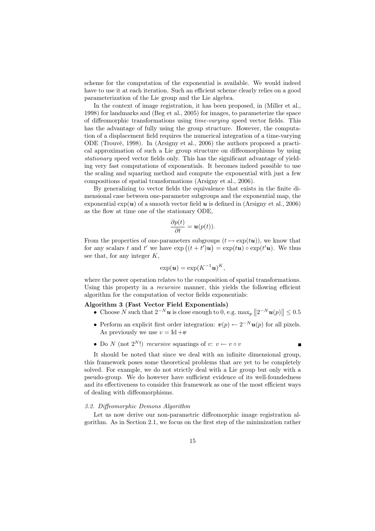scheme for the computation of the exponential is available. We would indeed have to use it at each iteration. Such an efficient scheme clearly relies on a good parameterization of the Lie group and the Lie algebra.

In the context of image registration, it has been proposed, in [\(Miller et al.,](#page-27-8) [1998\)](#page-27-8) for landmarks and [\(Beg et al.,](#page-26-3) [2005](#page-26-3)) for images, to parameterize the space of diffeomorphic transformations using time-varying speed vector fields. This has the advantage of fully using the group structure. However, the computation of a displacement field requires the numerical integration of a time-varying ODE [\(Trouvé,](#page-28-5) [1998](#page-28-5)). In [\(Arsigny et al.,](#page-25-2) [2006](#page-25-2)) the authors proposed a practical approximation of such a Lie group structure on diffeomorphisms by using stationary speed vector fields only. This has the significant advantage of yielding very fast computations of exponentials. It becomes indeed possible to use the scaling and squaring method and compute the exponential with just a few compositions of spatial transformations [\(Arsigny et al.,](#page-25-2) [2006\)](#page-25-2).

By generalizing to vector fields the equivalence that exists in the finite dimensional case between one-parameter subgroups and the exponential map, the exponential  $\exp(u)$  of a smooth vector field u is defined in [\(Arsigny et al.](#page-25-2), [2006\)](#page-25-2) as the flow at time one of the stationary ODE,

$$
\frac{\partial p(t)}{\partial t} = \mathbf{u}(p(t)).
$$

From the properties of one-parameters subgroups  $(t \mapsto \exp(tu))$ , we know that for any scalars t and t' we have  $\exp((t+t')u) = \exp(tu) \circ \exp(t'u)$ . We thus see that, for any integer  $K$ ,

$$
\exp(u) = \exp(K^{-1}u)^K,
$$

where the power operation relates to the composition of spatial transformations. Using this property in a *recursive* manner, this yields the following efficient algorithm for the computation of vector fields exponentials:

#### Algorithm 3 (Fast Vector Field Exponentials)

- Choose N such that  $2^{-N}u$  is close enough to 0, e.g.  $\max_p ||2^{-N}u(p)|| \leq 0.5$
- Perform an explicit first order integration:  $v(p) \leftarrow 2^{-N} u(p)$  for all pixels. As previously we use  $v = \text{Id} + v$
- Do N (not  $2^N!$ ) recursive squarings of  $v: v \leftarrow v \circ v$

 $\blacksquare$ 

It should be noted that since we deal with an infinite dimensional group, this framework poses some theoretical problems that are yet to be completely solved. For example, we do not strictly deal with a Lie group but only with a pseudo-group. We do however have sufficient evidence of its well-foundedness and its effectiveness to consider this framework as one of the most efficient ways of dealing with diffeomorphisms.

#### <span id="page-15-0"></span>3.2. Diffeomorphic Demons Algorithm

Let us now derive our non-parametric diffeomorphic image registration algorithm. As in Section [2.1,](#page-3-1) we focus on the first step of the minimization rather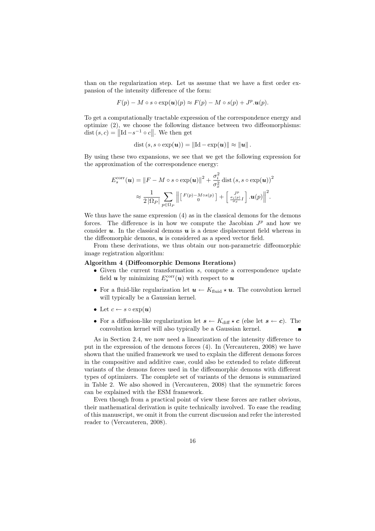than on the regularization step. Let us assume that we have a first order expansion of the intensity difference of the form:

$$
F(p) - M \circ s \circ \exp(u)(p) \approx F(p) - M \circ s(p) + J^p \cdot u(p).
$$

To get a computationally tractable expression of the correspondence energy and optimize [\(2\)](#page-4-1), we choose the following distance between two diffeomorphisms: dist  $(s, c) = ||\text{Id} - s^{-1} \circ c||$ . We then get

dist  $(s, s \circ \exp(u)) = ||Id - \exp(u)|| \approx ||u||$ .

By using these two expansions, we see that we get the following expression for the approximation of the correspondence energy:

$$
E_s^{\text{corr}}(\boldsymbol{u}) = \|F - M \circ s \circ \exp(\boldsymbol{u})\|^2 + \frac{\sigma_i^2}{\sigma_x^2} \text{dist}(s, s \circ \exp(\boldsymbol{u}))^2
$$

$$
\approx \frac{1}{2|\Omega_P|} \sum_{p \in \Omega_P} \left\| \begin{bmatrix} F(p) - M \circ s(p) \\ 0 \end{bmatrix} + \begin{bmatrix} J^p \\ \frac{\sigma_i(p)}{\sigma_x} I \end{bmatrix} . \boldsymbol{u}(p) \right\|^2.
$$

We thus have the same expression [\(4\)](#page-7-0) as in the classical demons for the demons forces. The difference is in how we compute the Jacobian  $J<sup>p</sup>$  and how we consider  $u$ . In the classical demons  $u$  is a dense displacement field whereas in the diffeomorphic demons,  $\boldsymbol{u}$  is considered as a speed vector field.

From these derivations, we thus obtain our non-parametric diffeomorphic image registration algorithm:

#### Algorithm 4 (Diffeomorphic Demons Iterations)

- Given the current transformation  $s$ , compute a correspondence update field  $\boldsymbol{u}$  by minimizing  $E_s^{\text{corr}}(\boldsymbol{u})$  with respect to  $\boldsymbol{u}$
- For a fluid-like regularization let  $u \leftarrow K_{\text{fluid}} \star u$ . The convolution kernel will typically be a Gaussian kernel.
- Let  $c \leftarrow s \circ \exp(u)$
- For a diffusion-like regularization let  $s \leftarrow K_{\text{diff}} \star c$  (else let  $s \leftarrow c$ ). The convolution kernel will also typically be a Gaussian kernel.

As in Section [2.4,](#page-7-1) we now need a linearization of the intensity difference to put in the expression of the demons forces [\(4\)](#page-7-0). In [\(Vercauteren,](#page-28-7) [2008\)](#page-28-7) we have shown that the unified framework we used to explain the different demons forces in the compositive and additive case, could also be extended to relate different variants of the demons forces used in the diffeomorphic demons with different types of optimizers. The complete set of variants of the demons is summarized in Table [2.](#page-17-1) We also showed in [\(Vercauteren](#page-28-7), [2008\)](#page-28-7) that the symmetric forces can be explained with the ESM framework.

Even though from a practical point of view these forces are rather obvious, their mathematical derivation is quite technically involved. To ease the reading of this manuscript, we omit it from the current discussion and refer the interested reader to [\(Vercauteren](#page-28-7), [2008](#page-28-7)).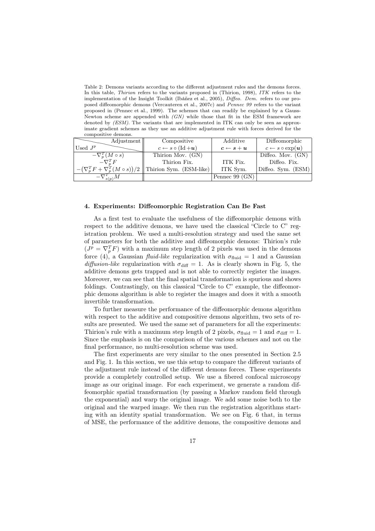<span id="page-17-1"></span>Table 2: Demons variants according to the different adjustment rules and the demons forces. In this table, *Thirion* refers to the variants proposed in [\(Thirion](#page-28-1), [1998\)](#page-28-1), ITK refers to the implementation of the Insight Toolkit [\(Ibáñez et al.](#page-27-0), [2005\)](#page-27-0), Diffeo. Dem. refers to our proposed diffeomorphic demons [\(Vercauteren et al.,](#page-29-0) [2007c](#page-29-0)) and Pennec 99 refers to the variant proposed in [\(Pennec et al.](#page-28-3), [1999\)](#page-28-3). The schemes that can readily be explained by a Gauss-Newton scheme are appended with  $(GN)$  while those that fit in the ESM framework are denoted by *(ESM)*. The variants that are implemented in ITK can only be seen as approximate gradient schemes as they use an additive adjustment rule with forces derived for the

|                 | compositive demons. |                                    |                                                                              |                   |                                |  |  |  |  |
|-----------------|---------------------|------------------------------------|------------------------------------------------------------------------------|-------------------|--------------------------------|--|--|--|--|
|                 |                     | Adjustment                         | Compositive                                                                  | Additive          | Diffeomorphic                  |  |  |  |  |
|                 | Used $J^p$          |                                    | $c \leftarrow s \circ (\text{Id} + \boldsymbol{u})$                          | $c\leftarrow s+u$ | $c \leftarrow s \circ \exp(u)$ |  |  |  |  |
|                 |                     | $-\nabla_{\mathbf{v}}^T(M\circ s)$ | Thirion Mov. (GN)                                                            |                   | Diffeo. Mov. $(GN)$            |  |  |  |  |
| $-\nabla^T_n F$ |                     |                                    | Thirion Fix.                                                                 | ITK Fix.          | Diffeo. Fix.                   |  |  |  |  |
|                 |                     |                                    | $-(\nabla_{p}^{T} F + \nabla_{p}^{T} (M \circ s))/2$ Thirion Sym. (ESM-like) | ITK Sym.          | Diffeo. Sym. (ESM)             |  |  |  |  |
|                 |                     |                                    |                                                                              | Pennec 99 $(GN)$  |                                |  |  |  |  |

#### <span id="page-17-0"></span>4. Experiments: Diffeomorphic Registration Can Be Fast

As a first test to evaluate the usefulness of the diffeomorphic demons with respect to the additive demons, we have used the classical "Circle to C" registration problem. We used a multi-resolution strategy and used the same set of parameters for both the additive and diffeomorphic demons: Thirion's rule  $(J^p = \nabla_p^T F)$  with a maximum step length of 2 pixels was used in the demons force [\(4\)](#page-7-0), a Gaussian *fluid-like* regularization with  $\sigma_{\text{fluid}} = 1$  and a Gaussian diffusion-like regularization with  $\sigma_{\text{diff}} = 1$ . As is clearly shown in Fig. [5,](#page-18-0) the additive demons gets trapped and is not able to correctly register the images. Moreover, we can see that the final spatial transformation is spurious and shows foldings. Contrastingly, on this classical "Circle to C" example, the diffeomorphic demons algorithm is able to register the images and does it with a smooth invertible transformation.

To further measure the performance of the diffeomorphic demons algorithm with respect to the additive and compositive demons algorithm, two sets of results are presented. We used the same set of parameters for all the experiments: Thirion's rule with a maximum step length of 2 pixels,  $\sigma_{\text{fluid}} = 1$  and  $\sigma_{\text{diff}} = 1$ . Since the emphasis is on the comparison of the various schemes and not on the final performance, no multi-resolution scheme was used.

The first experiments are very similar to the ones presented in Section [2.5](#page-9-0) and Fig. [1.](#page-9-1) In this section, we use this setup to compare the different variants of the adjustment rule instead of the different demons forces. These experiments provide a completely controlled setup. We use a fibered confocal microscopy image as our original image. For each experiment, we generate a random diffeomorphic spatial transformation (by passing a Markov random field through the exponential) and warp the original image. We add some noise both to the original and the warped image. We then run the registration algorithms starting with an identity spatial transformation. We see on Fig. [6](#page-19-0) that, in terms of MSE, the performance of the additive demons, the compositive demons and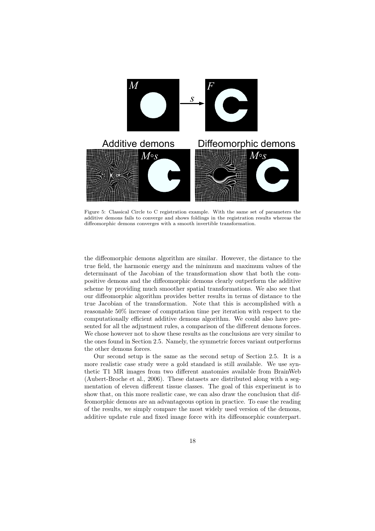

<span id="page-18-0"></span>Figure 5: Classical Circle to C registration example. With the same set of parameters the additive demons fails to converge and shows foldings in the registration results whereas the diffeomorphic demons converges with a smooth invertible transformation.

the diffeomorphic demons algorithm are similar. However, the distance to the true field, the harmonic energy and the minimum and maximum values of the determinant of the Jacobian of the transformation show that both the compositive demons and the diffeomorphic demons clearly outperform the additive scheme by providing much smoother spatial transformations. We also see that our diffeomorphic algorithm provides better results in terms of distance to the true Jacobian of the transformation. Note that this is accomplished with a reasonable 50% increase of computation time per iteration with respect to the computationally efficient additive demons algorithm. We could also have presented for all the adjustment rules, a comparison of the different demons forces. We chose however not to show these results as the conclusions are very similar to the ones found in Section [2.5.](#page-9-0) Namely, the symmetric forces variant outperforms the other demons forces.

Our second setup is the same as the second setup of Section [2.5.](#page-9-0) It is a more realistic case study were a gold standard is still available. We use synthetic T1 MR images from two different anatomies available from BrainWeb [\(Aubert-Broche et al.,](#page-25-3) [2006](#page-25-3)). These datasets are distributed along with a segmentation of eleven different tissue classes. The goal of this experiment is to show that, on this more realistic case, we can also draw the conclusion that diffeomorphic demons are an advantageous option in practice. To ease the reading of the results, we simply compare the most widely used version of the demons, additive update rule and fixed image force with its diffeomorphic counterpart.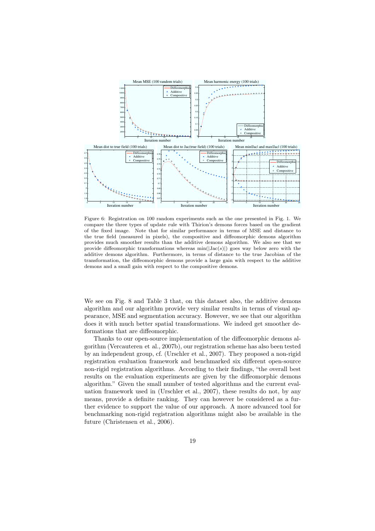

<span id="page-19-0"></span>Figure 6: Registration on 100 random experiments such as the one presented in Fig. [1.](#page-9-1) We compare the three types of update rule with Thirion's demons forces based on the gradient of the fixed image. Note that for similar performance in terms of MSE and distance to the true field (measured in pixels), the compositive and diffeomorphic demons algorithm provides much smoother results than the additive demons algorithm. We also see that we provide diffeomorphic transformations whereas  $min(|Jac(s)|)$  goes way below zero with the additive demons algorithm. Furthermore, in terms of distance to the true Jacobian of the transformation, the diffeomorphic demons provide a large gain with respect to the additive demons and a small gain with respect to the compositive demons.

We see on Fig. [8](#page-21-1) and Table [3](#page-20-1) that, on this dataset also, the additive demons algorithm and our algorithm provide very similar results in terms of visual appearance, MSE and segmentation accuracy. However, we see that our algorithm does it with much better spatial transformations. We indeed get smoother deformations that are diffeomorphic.

Thanks to our open-source implementation of the diffeomorphic demons algorithm [\(Vercauteren et al.,](#page-29-1) [2007b](#page-29-1)), our registration scheme has also been tested by an independent group, cf. [\(Urschler et al.](#page-28-11), [2007\)](#page-28-11). They proposed a non-rigid registration evaluation framework and benchmarked six different open-source non-rigid registration algorithms. According to their findings, "the overall best results on the evaluation experiments are given by the diffeomorphic demons algorithm." Given the small number of tested algorithms and the current evaluation framework used in [\(Urschler et al.](#page-28-11), [2007\)](#page-28-11), these results do not, by any means, provide a definite ranking. They can however be considered as a further evidence to support the value of our approach. A more advanced tool for benchmarking non-rigid registration algorithms might also be available in the future [\(Christensen et al.,](#page-26-10) [2006\)](#page-26-10).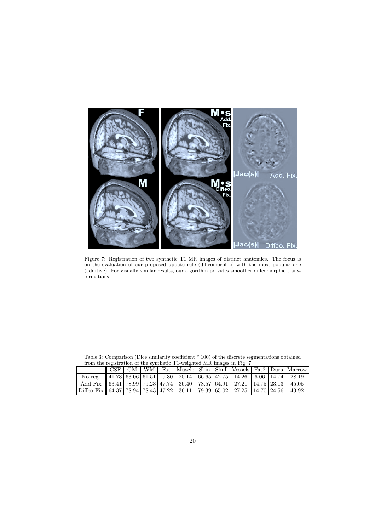

<span id="page-20-0"></span>Figure 7: Registration of two synthetic T1 MR images of distinct anatomies. The focus is on the evaluation of our proposed update rule (diffeomorphic) with the most popular one (additive). For visually similar results, our algorithm provides smoother diffeomorphic transformations.

<span id="page-20-1"></span>

| <u>trone</u> the region and or the symmetre <b>II-weighted</b> mit mages in Fig. 1.                |  |  |  |  |  |  |  |  |  |                                                                              |
|----------------------------------------------------------------------------------------------------|--|--|--|--|--|--|--|--|--|------------------------------------------------------------------------------|
|                                                                                                    |  |  |  |  |  |  |  |  |  | CSF   GM   WM   Fat   Muscle   Skin   Skull   Vessels   Fat2   Dura   Marrow |
| No reg. $\parallel$ 41.73 63.06 61.51 19.30 20.14 66.65 42.75 14.26 6.06 14.74 28.19               |  |  |  |  |  |  |  |  |  |                                                                              |
| Add Fix $\  63.41   78.99   79.23   47.74   36.40   78.57   64.91   27.21   14.75   23.13   45.05$ |  |  |  |  |  |  |  |  |  |                                                                              |
| Diffeo Fix $(64.37)$ 78.94 78.43 47.22 36.11 79.39 65.02 27.25 14.70 24.56 43.92                   |  |  |  |  |  |  |  |  |  |                                                                              |

Table 3: Comparison (Dice similarity coefficient \* 100) of the discrete segmentations obtained from the registration of the synthetic T1-weighted MR images in Fig. [7.](#page-20-0)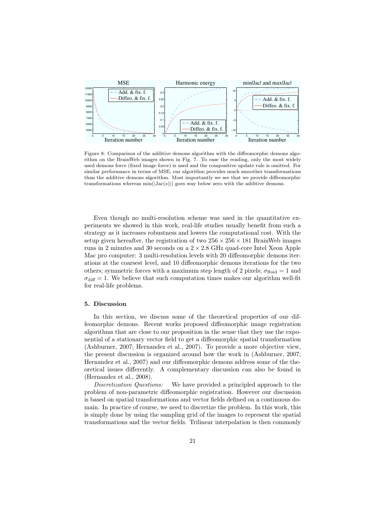

<span id="page-21-1"></span>Figure 8: Comparison of the additive demons algorithm with the diffeomorphic demons algorithm on the BrainWeb images shown in Fig. [7.](#page-20-0) To ease the reading, only the most widely used demons force (fixed image force) is used and the compositive update rule is omitted. For similar performance in terms of MSE, our algorithm provides much smoother transformations than the additive demons algorithm. Most importantly we see that we provide diffeomorphic transformations whereas  $min(|Jac(s)|)$  goes way below zero with the additive demons.

Even though no multi-resolution scheme was used in the quantitative experiments we showed in this work, real-life studies usually benefit from such a strategy as it increases robustness and lowers the computational cost. With the setup given hereafter, the registration of two  $256 \times 256 \times 181$  BrainWeb images runs in 2 minutes and 30 seconds on a  $2 \times 2.8$  GHz quad-core Intel Xeon Apple Mac pro computer: 3 multi-resolution levels with 20 diffeomorphic demons iterations at the coarsest level, and 10 diffeomorphic demons iterations for the two others; symmetric forces with a maximum step length of 2 pixels;  $\sigma_{\text{fluid}} = 1$  and  $\sigma_{\text{diff}} = 1$ . We believe that such computation times makes our algorithm well-fit for real-life problems.

#### <span id="page-21-0"></span>5. Discussion

In this section, we discuss some of the theoretical properties of our diffeomorphic demons. Recent works proposed diffeomorphic image registration algorithms that are close to our proposition in the sense that they use the exponential of a stationary vector field to get a diffeomorphic spatial transformation [\(Ashburner](#page-25-0), [2007;](#page-25-0) [Hernandez et al.,](#page-27-2) [2007](#page-27-2)). To provide a more objective view, the present discussion is organized around how the work in [\(Ashburner](#page-25-0), [2007;](#page-25-0) [Hernandez et al.](#page-27-2), [2007](#page-27-2)) and our diffeomorphic demons address some of the theoretical issues differently. A complementary discussion can also be found in [\(Hernandez et al.](#page-27-11), [2008](#page-27-11)).

Discretization Questions: We have provided a principled approach to the problem of non-parametric diffeomorphic registration. However our discussion is based on spatial transformations and vector fields defined on a continuous domain. In practice of course, we need to discretize the problem. In this work, this is simply done by using the sampling grid of the images to represent the spatial transformations and the vector fields. Trilinear interpolation is then commonly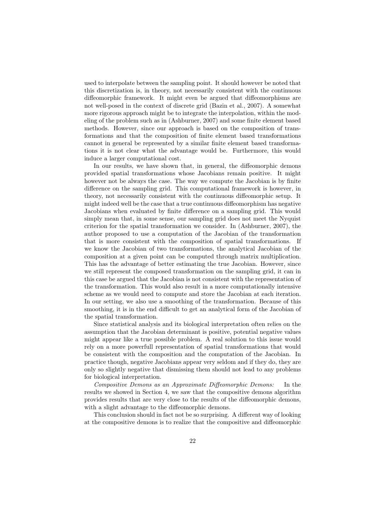used to interpolate between the sampling point. It should however be noted that this discretization is, in theory, not necessarily consistent with the continuous diffeomorphic framework. It might even be argued that diffeomorphisms are not well-posed in the context of discrete grid [\(Bazin et al.](#page-26-11), [2007](#page-26-11)). A somewhat more rigorous approach might be to integrate the interpolation, within the modeling of the problem such as in [\(Ashburner,](#page-25-0) [2007](#page-25-0)) and some finite element based methods. However, since our approach is based on the composition of transformations and that the composition of finite element based transformations cannot in general be represented by a similar finite element based transformations it is not clear what the advantage would be. Furthermore, this would induce a larger computational cost.

In our results, we have shown that, in general, the diffeomorphic demons provided spatial transformations whose Jacobians remain positive. It might however not be always the case. The way we compute the Jacobian is by finite difference on the sampling grid. This computational framework is however, in theory, not necessarily consistent with the continuous diffeomorphic setup. It might indeed well be the case that a true continuous diffeomorphism has negative Jacobians when evaluated by finite difference on a sampling grid. This would simply mean that, in some sense, our sampling grid does not meet the Nyquist criterion for the spatial transformation we consider. In [\(Ashburner](#page-25-0), [2007](#page-25-0)), the author proposed to use a computation of the Jacobian of the transformation that is more consistent with the composition of spatial transformations. If we know the Jacobian of two transformations, the analytical Jacobian of the composition at a given point can be computed through matrix multiplication. This has the advantage of better estimating the true Jacobian. However, since we still represent the composed transformation on the sampling grid, it can in this case be argued that the Jacobian is not consistent with the representation of the transformation. This would also result in a more computationally intensive scheme as we would need to compute and store the Jacobian at each iteration. In our setting, we also use a smoothing of the transformation. Because of this smoothing, it is in the end difficult to get an analytical form of the Jacobian of the spatial transformation.

Since statistical analysis and its biological interpretation often relies on the assumption that the Jacobian determinant is positive, potential negative values might appear like a true possible problem. A real solution to this issue would rely on a more powerfull representation of spatial transformations that would be consistent with the composition and the computation of the Jacobian. In practice though, negative Jacobians appear very seldom and if they do, they are only so slightly negative that dismissing them should not lead to any problems for biological interpretation.

Compositive Demons as an Approximate Diffeomorphic Demons: In the results we showed in Section [4,](#page-17-0) we saw that the compositive demons algorithm provides results that are very close to the results of the diffeomorphic demons, with a slight advantage to the diffeomorphic demons.

This conclusion should in fact not be so surprising. A different way of looking at the compositive demons is to realize that the compositive and diffeomorphic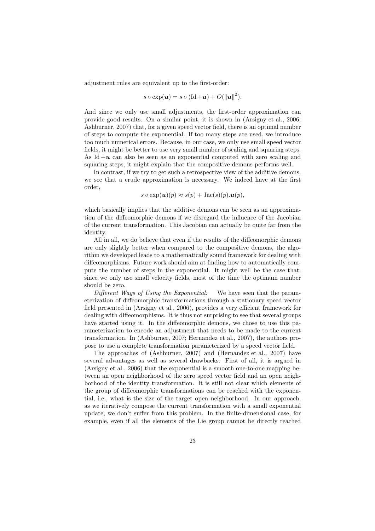adjustment rules are equivalent up to the first-order:

$$
s \circ \exp(u) = s \circ (\mathrm{Id} + u) + O(\|u\|^2).
$$

And since we only use small adjustments, the first-order approximation can provide good results. On a similar point, it is shown in [\(Arsigny et al.](#page-25-2), [2006;](#page-25-2) [Ashburner](#page-25-0), [2007\)](#page-25-0) that, for a given speed vector field, there is an optimal number of steps to compute the exponential. If too many steps are used, we introduce too much numerical errors. Because, in our case, we only use small speed vector fields, it might be better to use very small number of scaling and squaring steps. As Id  $+u$  can also be seen as an exponential computed with zero scaling and squaring steps, it might explain that the compositive demons performs well.

In contrast, if we try to get such a retrospective view of the additive demons, we see that a crude approximation is necessary. We indeed have at the first order,

$$
s \circ \exp(\boldsymbol{u})(p) \approx s(p) + \operatorname{Jac}(s)(p).\boldsymbol{u}(p),
$$

which basically implies that the additive demons can be seen as an approximation of the diffeomorphic demons if we disregard the influence of the Jacobian of the current transformation. This Jacobian can actually be quite far from the identity.

All in all, we do believe that even if the results of the diffeomorphic demons are only slightly better when compared to the compositive demons, the algorithm we developed leads to a mathematically sound framework for dealing with diffeomorphisms. Future work should aim at finding how to automatically compute the number of steps in the exponential. It might well be the case that, since we only use small velocity fields, most of the time the optimum number should be zero.

Different Ways of Using the Exponential: We have seen that the parameterization of diffeomorphic transformations through a stationary speed vector field presented in [\(Arsigny et al.](#page-25-2), [2006](#page-25-2)), provides a very efficient framework for dealing with diffeomorphisms. It is thus not surprising to see that several groups have started using it. In the diffeomorphic demons, we chose to use this parameterization to encode an adjustment that needs to be made to the current transformation. In [\(Ashburner](#page-25-0), [2007](#page-25-0); [Hernandez et al.,](#page-27-2) [2007\)](#page-27-2), the authors propose to use a complete transformation parameterized by a speed vector field.

The approaches of [\(Ashburner,](#page-25-0) [2007\)](#page-25-0) and [\(Hernandez et al.,](#page-27-2) [2007\)](#page-27-2) have several advantages as well as several drawbacks. First of all, it is argued in [\(Arsigny et al.,](#page-25-2) [2006\)](#page-25-2) that the exponential is a smooth one-to-one mapping between an open neighborhood of the zero speed vector field and an open neighborhood of the identity transformation. It is still not clear which elements of the group of diffeomorphic transformations can be reached with the exponential, i.e., what is the size of the target open neighborhood. In our approach, as we iteratively compose the current transformation with a small exponential update, we don't suffer from this problem. In the finite-dimensional case, for example, even if all the elements of the Lie group cannot be directly reached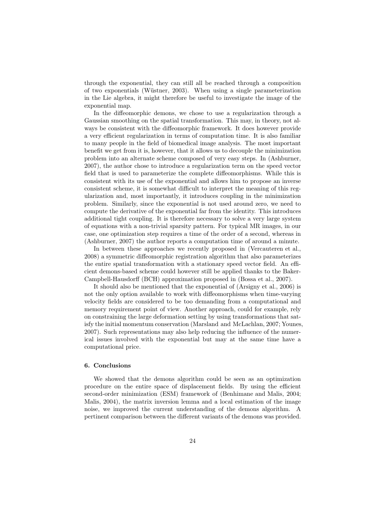through the exponential, they can still all be reached through a composition of two exponentials [\(Wüstner](#page-29-8), [2003](#page-29-8)). When using a single parameterization in the Lie algebra, it might therefore be useful to investigate the image of the exponential map.

In the diffeomorphic demons, we chose to use a regularization through a Gaussian smoothing on the spatial transformation. This may, in theory, not always be consistent with the diffeomorphic framework. It does however provide a very efficient regularization in terms of computation time. It is also familiar to many people in the field of biomedical image analysis. The most important benefit we get from it is, however, that it allows us to decouple the minimization problem into an alternate scheme composed of very easy steps. In [\(Ashburner,](#page-25-0) [2007\)](#page-25-0), the author chose to introduce a regularization term on the speed vector field that is used to parameterize the complete diffeomorphisms. While this is consistent with its use of the exponential and allows him to propose an inverse consistent scheme, it is somewhat difficult to interpret the meaning of this regularization and, most importantly, it introduces coupling in the minimization problem. Similarly, since the exponential is not used around zero, we need to compute the derivative of the exponential far from the identity. This introduces additional tight coupling. It is therefore necessary to solve a very large system of equations with a non-trivial sparsity pattern. For typical MR images, in our case, one optimization step requires a time of the order of a second, whereas in [\(Ashburner](#page-25-0), [2007](#page-25-0)) the author reports a computation time of around a minute.

In between these approaches we recently proposed in [\(Vercauteren et al.,](#page-29-5) [2008\)](#page-29-5) a symmetric diffeomorphic registration algorithm that also parameterizes the entire spatial transformation with a stationary speed vector field. An efficient demons-based scheme could however still be applied thanks to the Baker-Campbell-Hausdorff (BCH) approximation proposed in [\(Bossa et al.,](#page-26-12) [2007\)](#page-26-12).

It should also be mentioned that the exponential of [\(Arsigny et al.,](#page-25-2) [2006\)](#page-25-2) is not the only option available to work with diffeomorphisms when time-varying velocity fields are considered to be too demanding from a computational and memory requirement point of view. Another approach, could for example, rely on constraining the large deformation setting by using transformations that satisfy the initial momentum conservation [\(Marsland and McLachlan](#page-27-12), [2007](#page-27-12); [Younes](#page-29-9), [2007\)](#page-29-9). Such representations may also help reducing the influence of the numerical issues involved with the exponential but may at the same time have a computational price.

#### <span id="page-24-0"></span>6. Conclusions

We showed that the demons algorithm could be seen as an optimization procedure on the entire space of displacement fields. By using the efficient second-order minimization (ESM) framework of [\(Benhimane and Malis,](#page-26-0) [2004;](#page-26-0) [Malis](#page-27-1), [2004\)](#page-27-1), the matrix inversion lemma and a local estimation of the image noise, we improved the current understanding of the demons algorithm. A pertinent comparison between the different variants of the demons was provided.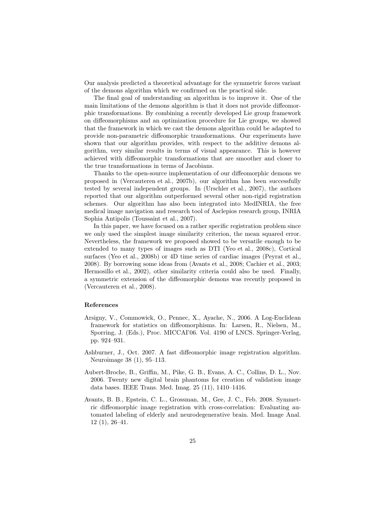Our analysis predicted a theoretical advantage for the symmetric forces variant of the demons algorithm which we confirmed on the practical side.

The final goal of understanding an algorithm is to improve it. One of the main limitations of the demons algorithm is that it does not provide diffeomorphic transformations. By combining a recently developed Lie group framework on diffeomorphisms and an optimization procedure for Lie groups, we showed that the framework in which we cast the demons algorithm could be adapted to provide non-parametric diffeomorphic transformations. Our experiments have shown that our algorithm provides, with respect to the additive demons algorithm, very similar results in terms of visual appearance. This is however achieved with diffeomorphic transformations that are smoother and closer to the true transformations in terms of Jacobians.

Thanks to the open-source implementation of our diffeomorphic demons we proposed in [\(Vercauteren et al.](#page-29-1), [2007b](#page-29-1)), our algorithm has been successfully tested by several independent groups. In [\(Urschler et al.](#page-28-11), [2007](#page-28-11)), the authors reported that our algorithm outperformed several other non-rigid registration schemes. Our algorithm has also been integrated into MedINRIA, the free medical image navigation and research tool of Asclepios research group, INRIA Sophia Antipolis [\(Toussaint et al.](#page-28-12), [2007](#page-28-12)).

In this paper, we have focused on a rather specific registration problem since we only used the simplest image similarity criterion, the mean squared error. Nevertheless, the framework we proposed showed to be versatile enough to be extended to many types of images such as DTI [\(Yeo et al.](#page-29-3), [2008c](#page-29-3)), Cortical surfaces [\(Yeo et al.](#page-29-4), [2008b](#page-29-4)) or 4D time series of cardiac images [\(Peyrat et al.,](#page-28-6) [2008\)](#page-28-6). By borrowing some ideas from [\(Avants et al.,](#page-25-1) [2008](#page-25-1); [Cachier et al.,](#page-26-2) [2003;](#page-26-2) [Hermosillo et al.](#page-27-4), [2002\)](#page-27-4), other similarity criteria could also be used. Finally, a symmetric extension of the diffeomorphic demons was recently proposed in [\(Vercauteren et al.](#page-29-5), [2008](#page-29-5)).

## References

- <span id="page-25-2"></span>Arsigny, V., Commowick, O., Pennec, X., Ayache, N., 2006. A Log-Euclidean framework for statistics on diffeomorphisms. In: Larsen, R., Nielsen, M., Sporring, J. (Eds.), Proc. MICCAI'06. Vol. 4190 of LNCS. Springer-Verlag, pp. 924–931.
- <span id="page-25-0"></span>Ashburner, J., Oct. 2007. A fast diffeomorphic image registration algorithm. Neuroimage 38 (1), 95–113.
- <span id="page-25-3"></span>Aubert-Broche, B., Griffin, M., Pike, G. B., Evans, A. C., Collins, D. L., Nov. 2006. Twenty new digital brain phantoms for creation of validation image data bases. IEEE Trans. Med. Imag. 25 (11), 1410–1416.
- <span id="page-25-1"></span>Avants, B. B., Epstein, C. L., Grossman, M., Gee, J. C., Feb. 2008. Symmetric diffeomorphic image registration with cross-correlation: Evaluating automated labeling of elderly and neurodegenerative brain. Med. Image Anal. 12 (1), 26–41.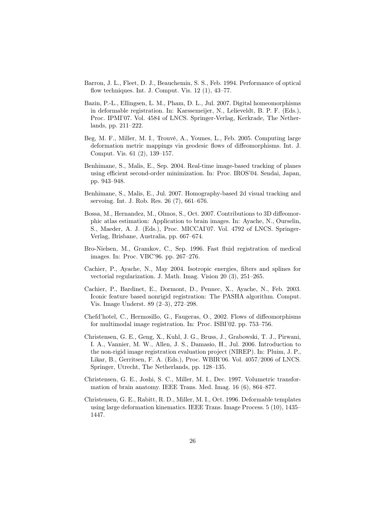- <span id="page-26-4"></span>Barron, J. L., Fleet, D. J., Beauchemin, S. S., Feb. 1994. Performance of optical flow techniques. Int. J. Comput. Vis.  $12$   $(1)$ ,  $43-77$ .
- <span id="page-26-11"></span>Bazin, P.-L., Ellingsen, L. M., Pham, D. L., Jul. 2007. Digital homeomorphisms in deformable registration. In: Karssemeijer, N., Lelieveldt, B. P. F. (Eds.), Proc. IPMI'07. Vol. 4584 of LNCS. Springer-Verlag, Kerkrade, The Netherlands, pp. 211–222.
- <span id="page-26-3"></span>Beg, M. F., Miller, M. I., Trouvé, A., Younes, L., Feb. 2005. Computing large deformation metric mappings via geodesic flows of diffeomorphisms. Int. J. Comput. Vis. 61 (2), 139–157.
- <span id="page-26-0"></span>Benhimane, S., Malis, E., Sep. 2004. Real-time image-based tracking of planes using efficient second-order minimization. In: Proc. IROS'04. Sendai, Japan, pp. 943–948.
- <span id="page-26-1"></span>Benhimane, S., Malis, E., Jul. 2007. Homography-based 2d visual tracking and servoing. Int. J. Rob. Res. 26 (7), 661–676.
- <span id="page-26-12"></span>Bossa, M., Hernandez, M., Olmos, S., Oct. 2007. Contributions to 3D diffeomorphic atlas estimation: Application to brain images. In: Ayache, N., Ourselin, S., Maeder, A. J. (Eds.), Proc. MICCAI'07. Vol. 4792 of LNCS. Springer-Verlag, Brisbane, Australia, pp. 667–674.
- <span id="page-26-6"></span>Bro-Nielsen, M., Gramkov, C., Sep. 1996. Fast fluid registration of medical images. In: Proc. VBC'96. pp. 267–276.
- <span id="page-26-7"></span>Cachier, P., Ayache, N., May 2004. Isotropic energies, filters and splines for vectorial regularization. J. Math. Imag. Vision 20 (3), 251–265.
- <span id="page-26-2"></span>Cachier, P., Bardinet, E., Dormont, D., Pennec, X., Ayache, N., Feb. 2003. Iconic feature based nonrigid registration: The PASHA algorithm. Comput. Vis. Image Underst. 89 (2–3), 272–298.
- <span id="page-26-9"></span>Chefd'hotel, C., Hermosillo, G., Faugeras, O., 2002. Flows of diffeomorphisms for multimodal image registration. In: Proc. ISBI'02. pp. 753–756.
- <span id="page-26-10"></span>Christensen, G. E., Geng, X., Kuhl, J. G., Bruss, J., Grabowski, T. J., Pirwani, I. A., Vannier, M. W., Allen, J. S., Damasio, H., Jul. 2006. Introduction to the non-rigid image registration evaluation project (NIREP). In: Pluim, J. P., Likar, B., Gerritsen, F. A. (Eds.), Proc. WBIR'06. Vol. 4057/2006 of LNCS. Springer, Utrecht, The Netherlands, pp. 128–135.
- <span id="page-26-5"></span>Christensen, G. E., Joshi, S. C., Miller, M. I., Dec. 1997. Volumetric transformation of brain anatomy. IEEE Trans. Med. Imag. 16 (6), 864–877.
- <span id="page-26-8"></span>Christensen, G. E., Rabitt, R. D., Miller, M. I., Oct. 1996. Deformable templates using large deformation kinematics. IEEE Trans. Image Process. 5 (10), 1435– 1447.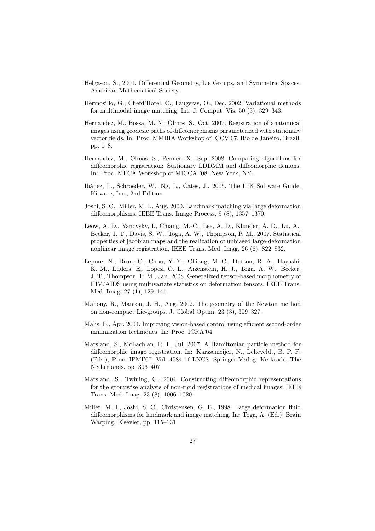- <span id="page-27-10"></span>Helgason, S., 2001. Differential Geometry, Lie Groups, and Symmetric Spaces. American Mathematical Society.
- <span id="page-27-4"></span>Hermosillo, G., Chefd'Hotel, C., Faugeras, O., Dec. 2002. Variational methods for multimodal image matching. Int. J. Comput. Vis. 50 (3), 329–343.
- <span id="page-27-2"></span>Hernandez, M., Bossa, M. N., Olmos, S., Oct. 2007. Registration of anatomical images using geodesic paths of diffeomorphisms parameterized with stationary vector fields. In: Proc. MMBIA Workshop of ICCV'07. Rio de Janeiro, Brazil, pp. 1–8.
- <span id="page-27-11"></span>Hernandez, M., Olmos, S., Pennec, X., Sep. 2008. Comparing algorithms for diffeomorphic registration: Stationary LDDMM and diffeomorphic demons. In: Proc. MFCA Workshop of MICCAI'08. New York, NY.
- <span id="page-27-0"></span>Ibáñez, L., Schroeder, W., Ng, L., Cates, J., 2005. The ITK Software Guide. Kitware, Inc., 2nd Edition.
- <span id="page-27-6"></span>Joshi, S. C., Miller, M. I., Aug. 2000. Landmark matching via large deformation diffeomorphisms. IEEE Trans. Image Process. 9 (8), 1357–1370.
- <span id="page-27-7"></span>Leow, A. D., Yanovsky, I., Chiang, M.-C., Lee, A. D., Klunder, A. D., Lu, A., Becker, J. T., Davis, S. W., Toga, A. W., Thompson, P. M., 2007. Statistical properties of jacobian maps and the realization of unbiased large-deformation nonlinear image registration. IEEE Trans. Med. Imag. 26 (6), 822–832.
- <span id="page-27-5"></span>Lepore, N., Brun, C., Chou, Y.-Y., Chiang, M.-C., Dutton, R. A., Hayashi, K. M., Luders, E., Lopez, O. L., Aizenstein, H. J., Toga, A. W., Becker, J. T., Thompson, P. M., Jan. 2008. Generalized tensor-based morphometry of HIV/AIDS using multivariate statistics on deformation tensors. IEEE Trans. Med. Imag. 27 (1), 129–141.
- <span id="page-27-9"></span>Mahony, R., Manton, J. H., Aug. 2002. The geometry of the Newton method on non-compact Lie-groups. J. Global Optim. 23 (3), 309–327.
- <span id="page-27-1"></span>Malis, E., Apr. 2004. Improving vision-based control using efficient second-order minimization techniques. In: Proc. ICRA'04.
- <span id="page-27-12"></span>Marsland, S., McLachlan, R. I., Jul. 2007. A Hamiltonian particle method for diffeomorphic image registration. In: Karssemeijer, N., Lelieveldt, B. P. F. (Eds.), Proc. IPMI'07. Vol. 4584 of LNCS. Springer-Verlag, Kerkrade, The Netherlands, pp. 396–407.
- <span id="page-27-3"></span>Marsland, S., Twining, C., 2004. Constructing diffeomorphic representations for the groupwise analysis of non-rigid registrations of medical images. IEEE Trans. Med. Imag. 23 (8), 1006–1020.
- <span id="page-27-8"></span>Miller, M. I., Joshi, S. C., Christensen, G. E., 1998. Large deformation fluid diffeomorphisms for landmark and image matching. In: Toga, A. (Ed.), Brain Warping. Elsevier, pp. 115–131.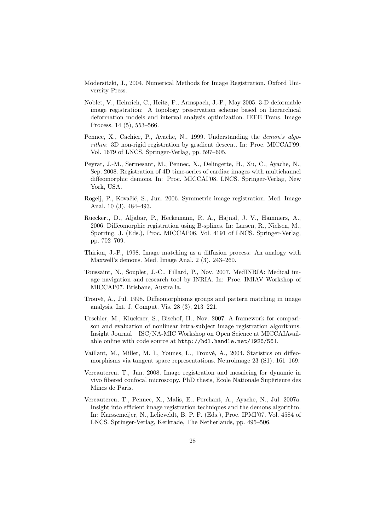- <span id="page-28-4"></span>Modersitzki, J., 2004. Numerical Methods for Image Registration. Oxford University Press.
- <span id="page-28-10"></span>Noblet, V., Heinrich, C., Heitz, F., Armspach, J.-P., May 2005. 3-D deformable image registration: A topology preservation scheme based on hierarchical deformation models and interval analysis optimization. IEEE Trans. Image Process. 14 (5), 553–566.
- <span id="page-28-3"></span>Pennec, X., Cachier, P., Ayache, N., 1999. Understanding the *demon's algo*rithm: 3D non-rigid registration by gradient descent. In: Proc. MICCAI'99. Vol. 1679 of LNCS. Springer-Verlag, pp. 597–605.
- <span id="page-28-6"></span>Peyrat, J.-M., Sermesant, M., Pennec, X., Delingette, H., Xu, C., Ayache, N., Sep. 2008. Registration of 4D time-series of cardiac images with multichannel diffeomorphic demons. In: Proc. MICCAI'08. LNCS. Springer-Verlag, New York, USA.
- <span id="page-28-2"></span>Rogelj, P., Kovačič, S., Jun. 2006. Symmetric image registration. Med. Image Anal. 10 (3), 484–493.
- <span id="page-28-9"></span>Rueckert, D., Aljabar, P., Heckemann, R. A., Hajnal, J. V., Hammers, A., 2006. Diffeomorphic registration using B-splines. In: Larsen, R., Nielsen, M., Sporring, J. (Eds.), Proc. MICCAI'06. Vol. 4191 of LNCS. Springer-Verlag, pp. 702–709.
- <span id="page-28-1"></span>Thirion, J.-P., 1998. Image matching as a diffusion process: An analogy with Maxwell's demons. Med. Image Anal. 2 (3), 243–260.
- <span id="page-28-12"></span>Toussaint, N., Souplet, J.-C., Fillard, P., Nov. 2007. MedINRIA: Medical image navigation and research tool by INRIA. In: Proc. IMIAV Workshop of MICCAI'07. Brisbane, Australia.
- <span id="page-28-5"></span>Trouvé, A., Jul. 1998. Diffeomorphisms groups and pattern matching in image analysis. Int. J. Comput. Vis. 28 (3), 213–221.
- <span id="page-28-11"></span>Urschler, M., Kluckner, S., Bischof, H., Nov. 2007. A framework for comparison and evaluation of nonlinear intra-subject image registration algorithms. Insight Journal – ISC/NA-MIC Workshop on Open Science at MICCAIAvailable online with code source at <http://hdl.handle.net/1926/561>.
- <span id="page-28-8"></span>Vaillant, M., Miller, M. I., Younes, L., Trouvé, A., 2004. Statistics on diffeomorphisms via tangent space representations. Neuroimage 23 (S1), 161–169.
- <span id="page-28-7"></span>Vercauteren, T., Jan. 2008. Image registration and mosaicing for dynamic in vivo fibered confocal microscopy. PhD thesis, École Nationale Supérieure des Mines de Paris.
- <span id="page-28-0"></span>Vercauteren, T., Pennec, X., Malis, E., Perchant, A., Ayache, N., Jul. 2007a. Insight into efficient image registration techniques and the demons algorithm. In: Karssemeijer, N., Lelieveldt, B. P. F. (Eds.), Proc. IPMI'07. Vol. 4584 of LNCS. Springer-Verlag, Kerkrade, The Netherlands, pp. 495–506.